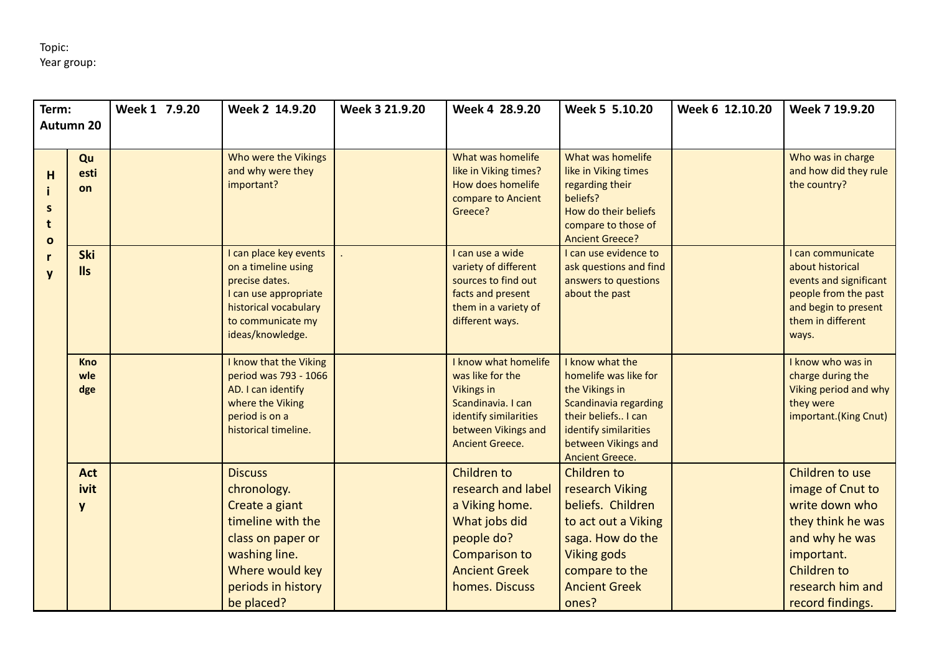| Term:        |            | Week 1 7.9.20 | Week 2 14.9.20                        | Week 3 21.9.20 | Week 4 28.9.20                                | Week 5 5.10.20                               | Week 6 12.10.20 | Week 7 19.9.20                             |
|--------------|------------|---------------|---------------------------------------|----------------|-----------------------------------------------|----------------------------------------------|-----------------|--------------------------------------------|
| Autumn 20    |            |               |                                       |                |                                               |                                              |                 |                                            |
|              |            |               |                                       |                |                                               |                                              |                 |                                            |
|              | Qu         |               | Who were the Vikings                  |                | What was homelife                             | What was homelife                            |                 | Who was in charge                          |
| н            | esti       |               | and why were they                     |                | like in Viking times?                         | like in Viking times                         |                 | and how did they rule                      |
|              | on         |               | important?                            |                | How does homelife<br>compare to Ancient       | regarding their<br>beliefs?                  |                 | the country?                               |
| S            |            |               |                                       |                | Greece?                                       | How do their beliefs                         |                 |                                            |
| t            |            |               |                                       |                |                                               | compare to those of                          |                 |                                            |
| $\mathbf{o}$ |            |               |                                       |                |                                               | <b>Ancient Greece?</b>                       |                 |                                            |
|              | Ski        |               | I can place key events                |                | I can use a wide                              | I can use evidence to                        |                 | I can communicate                          |
|              | <b>IIs</b> |               | on a timeline using<br>precise dates. |                | variety of different<br>sources to find out   | ask questions and find                       |                 | about historical<br>events and significant |
|              |            |               | I can use appropriate                 |                | facts and present                             | answers to questions<br>about the past       |                 | people from the past                       |
|              |            |               | historical vocabulary                 |                | them in a variety of                          |                                              |                 | and begin to present                       |
|              |            |               | to communicate my                     |                | different ways.                               |                                              |                 | them in different                          |
|              |            |               | ideas/knowledge.                      |                |                                               |                                              |                 | ways.                                      |
|              | <b>Kno</b> |               | I know that the Viking                |                | I know what homelife                          | I know what the                              |                 | I know who was in                          |
|              | wle        |               | period was 793 - 1066                 |                | was like for the                              | homelife was like for                        |                 | charge during the                          |
|              | dge        |               | AD. I can identify                    |                | <b>Vikings in</b>                             | the Vikings in                               |                 | Viking period and why                      |
|              |            |               | where the Viking                      |                | Scandinavia. I can                            | Scandinavia regarding                        |                 | they were                                  |
|              |            |               | period is on a                        |                | identify similarities                         | their beliefs I can                          |                 | important.(King Cnut)                      |
|              |            |               | historical timeline.                  |                | between Vikings and<br><b>Ancient Greece.</b> | identify similarities<br>between Vikings and |                 |                                            |
|              |            |               |                                       |                |                                               | <b>Ancient Greece.</b>                       |                 |                                            |
|              | <b>Act</b> |               | <b>Discuss</b>                        |                | Children to                                   | Children to                                  |                 | Children to use                            |
|              | ivit       |               | chronology.                           |                | research and label                            | research Viking                              |                 | image of Cnut to                           |
|              | y          |               | Create a giant                        |                | a Viking home.                                | beliefs. Children                            |                 | write down who                             |
|              |            |               | timeline with the                     |                | What jobs did                                 | to act out a Viking                          |                 | they think he was                          |
|              |            |               | class on paper or                     |                | people do?                                    | saga. How do the                             |                 | and why he was                             |
|              |            |               | washing line.                         |                | Comparison to                                 | <b>Viking gods</b>                           |                 | important.                                 |
|              |            |               | Where would key                       |                | <b>Ancient Greek</b>                          | compare to the                               |                 | Children to                                |
|              |            |               | periods in history                    |                | homes. Discuss                                | <b>Ancient Greek</b>                         |                 | research him and                           |
|              |            |               | be placed?                            |                |                                               | ones?                                        |                 | record findings.                           |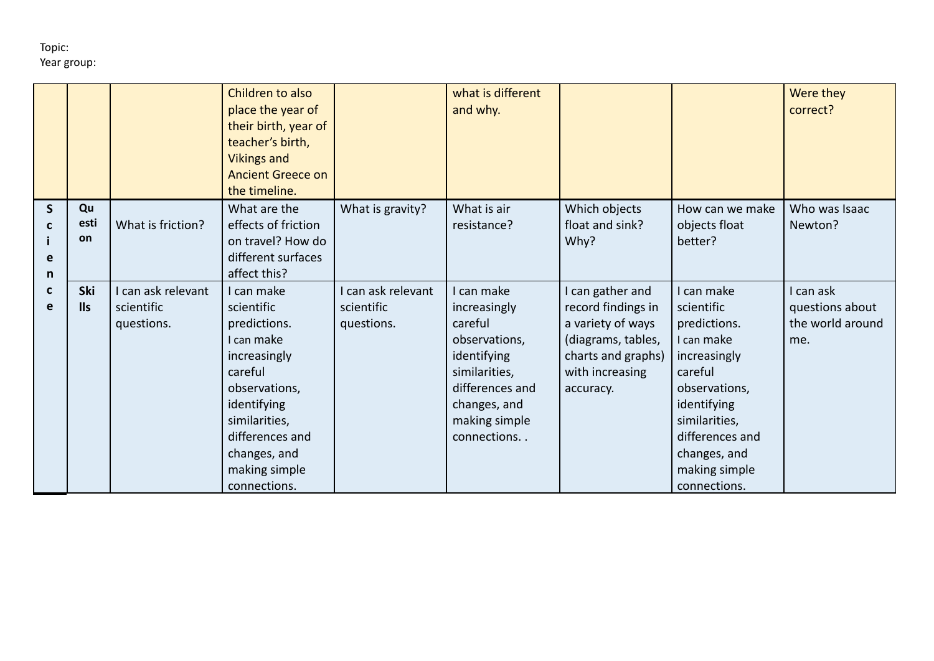|             |                   |                                              | Children to also<br>place the year of<br>their birth, year of<br>teacher's birth,<br><b>Vikings and</b><br><b>Ancient Greece on</b><br>the timeline.                                                   |                                              | what is different<br>and why.                                                                                                                             |                                                                                                                                         |                                                                                                                                                                                                        | Were they<br>correct?                                   |
|-------------|-------------------|----------------------------------------------|--------------------------------------------------------------------------------------------------------------------------------------------------------------------------------------------------------|----------------------------------------------|-----------------------------------------------------------------------------------------------------------------------------------------------------------|-----------------------------------------------------------------------------------------------------------------------------------------|--------------------------------------------------------------------------------------------------------------------------------------------------------------------------------------------------------|---------------------------------------------------------|
| S<br>е<br>n | Qu<br>esti<br>on  | What is friction?                            | What are the<br>effects of friction<br>on travel? How do<br>different surfaces<br>affect this?                                                                                                         | What is gravity?                             | What is air<br>resistance?                                                                                                                                | Which objects<br>float and sink?<br>Why?                                                                                                | How can we make<br>objects float<br>better?                                                                                                                                                            | Who was Isaac<br>Newton?                                |
| C<br>е      | Ski<br><b>IIs</b> | can ask relevant<br>scientific<br>questions. | I can make<br>scientific<br>predictions.<br>I can make<br>increasingly<br>careful<br>observations,<br>identifying<br>similarities,<br>differences and<br>changes, and<br>making simple<br>connections. | can ask relevant<br>scientific<br>questions. | I can make<br>increasingly<br>careful<br>observations,<br>identifying<br>similarities,<br>differences and<br>changes, and<br>making simple<br>connections | I can gather and<br>record findings in<br>a variety of ways<br>(diagrams, tables,<br>charts and graphs)<br>with increasing<br>accuracy. | I can make<br>scientific<br>predictions.<br>I can make<br>increasingly<br>careful<br>observations,<br>identifying<br>similarities,<br>differences and<br>changes, and<br>making simple<br>connections. | I can ask<br>questions about<br>the world around<br>me. |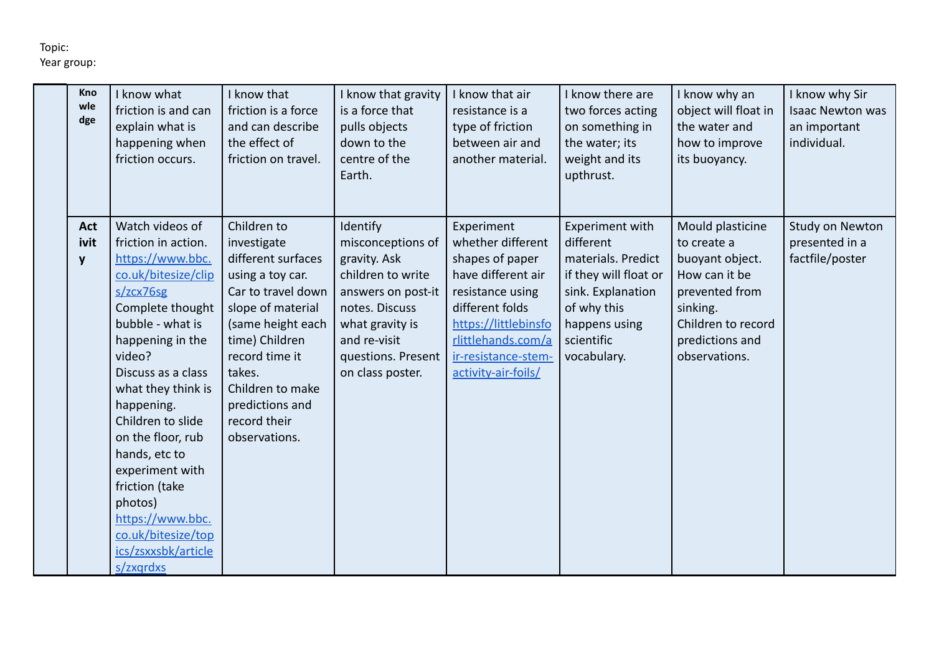| Kno<br>wle<br>dge       | I know what<br>friction is and can<br>explain what is<br>happening when<br>friction occurs.                                                                                                                                                                                                                                                                                                                             | I know that<br>friction is a force<br>and can describe<br>the effect of<br>friction on travel.                                                                                                                                                             | I know that gravity<br>is a force that<br>pulls objects<br>down to the<br>centre of the<br>Earth.                                                                                       | I know that air<br>resistance is a<br>type of friction<br>between air and<br>another material.                                                                                                              | I know there are<br>two forces acting<br>on something in<br>the water; its<br>weight and its<br>upthrust.                                                     | I know why an<br>object will float in<br>the water and<br>how to improve<br>its buoyancy.                                                                   | I know why Sir<br><b>Isaac Newton was</b><br>an important<br>individual. |
|-------------------------|-------------------------------------------------------------------------------------------------------------------------------------------------------------------------------------------------------------------------------------------------------------------------------------------------------------------------------------------------------------------------------------------------------------------------|------------------------------------------------------------------------------------------------------------------------------------------------------------------------------------------------------------------------------------------------------------|-----------------------------------------------------------------------------------------------------------------------------------------------------------------------------------------|-------------------------------------------------------------------------------------------------------------------------------------------------------------------------------------------------------------|---------------------------------------------------------------------------------------------------------------------------------------------------------------|-------------------------------------------------------------------------------------------------------------------------------------------------------------|--------------------------------------------------------------------------|
| <b>Act</b><br>ivit<br>y | Watch videos of<br>friction in action.<br>https://www.bbc.<br>co.uk/bitesize/clip<br>s/zcx76sg<br>Complete thought<br>bubble - what is<br>happening in the<br>video?<br>Discuss as a class<br>what they think is<br>happening.<br>Children to slide<br>on the floor, rub<br>hands, etc to<br>experiment with<br>friction (take<br>photos)<br>https://www.bbc.<br>co.uk/bitesize/top<br>ics/zsxxsbk/article<br>s/zxgrdxs | Children to<br>investigate<br>different surfaces<br>using a toy car.<br>Car to travel down<br>slope of material<br>(same height each<br>time) Children<br>record time it<br>takes.<br>Children to make<br>predictions and<br>record their<br>observations. | Identify<br>misconceptions of<br>gravity. Ask<br>children to write<br>answers on post-it<br>notes. Discuss<br>what gravity is<br>and re-visit<br>questions. Present<br>on class poster. | Experiment<br>whether different<br>shapes of paper<br>have different air<br>resistance using<br>different folds<br>https://littlebinsfo<br>rlittlehands.com/a<br>ir-resistance-stem-<br>activity-air-foils/ | Experiment with<br>different<br>materials. Predict<br>if they will float or<br>sink. Explanation<br>of why this<br>happens using<br>scientific<br>vocabulary. | Mould plasticine<br>to create a<br>buoyant object.<br>How can it be<br>prevented from<br>sinking.<br>Children to record<br>predictions and<br>observations. | Study on Newton<br>presented in a<br>factfile/poster                     |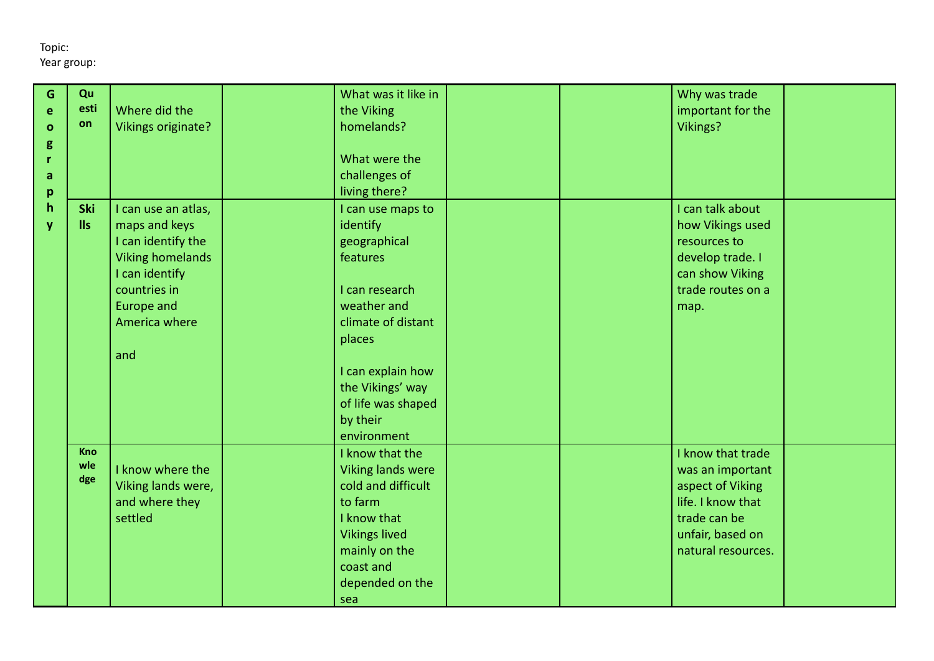| G            | Qu   |                         | What was it like in  | Why was trade      |
|--------------|------|-------------------------|----------------------|--------------------|
| e            | esti | Where did the           | the Viking           | important for the  |
| $\mathbf{o}$ | on   | Vikings originate?      | homelands?           | Vikings?           |
| g            |      |                         |                      |                    |
| r            |      |                         | What were the        |                    |
| a            |      |                         | challenges of        |                    |
| p            |      |                         | living there?        |                    |
| $\mathsf{h}$ | Ski  | I can use an atlas,     | I can use maps to    | I can talk about   |
| V            | IIs  | maps and keys           | identify             | how Vikings used   |
|              |      | I can identify the      | geographical         | resources to       |
|              |      | <b>Viking homelands</b> | features             | develop trade. I   |
|              |      | I can identify          |                      | can show Viking    |
|              |      | countries in            | I can research       | trade routes on a  |
|              |      | <b>Europe and</b>       | weather and          | map.               |
|              |      | America where           | climate of distant   |                    |
|              |      |                         | places               |                    |
|              |      | and                     |                      |                    |
|              |      |                         | I can explain how    |                    |
|              |      |                         | the Vikings' way     |                    |
|              |      |                         | of life was shaped   |                    |
|              |      |                         | by their             |                    |
|              |      |                         | environment          |                    |
|              | Kno  |                         | I know that the      | I know that trade  |
|              | wle  | I know where the        | Viking lands were    | was an important   |
|              | dge  | Viking lands were,      | cold and difficult   | aspect of Viking   |
|              |      | and where they          | to farm              | life. I know that  |
|              |      | settled                 | I know that          | trade can be       |
|              |      |                         | <b>Vikings lived</b> | unfair, based on   |
|              |      |                         | mainly on the        | natural resources. |
|              |      |                         | coast and            |                    |
|              |      |                         | depended on the      |                    |
|              |      |                         | sea                  |                    |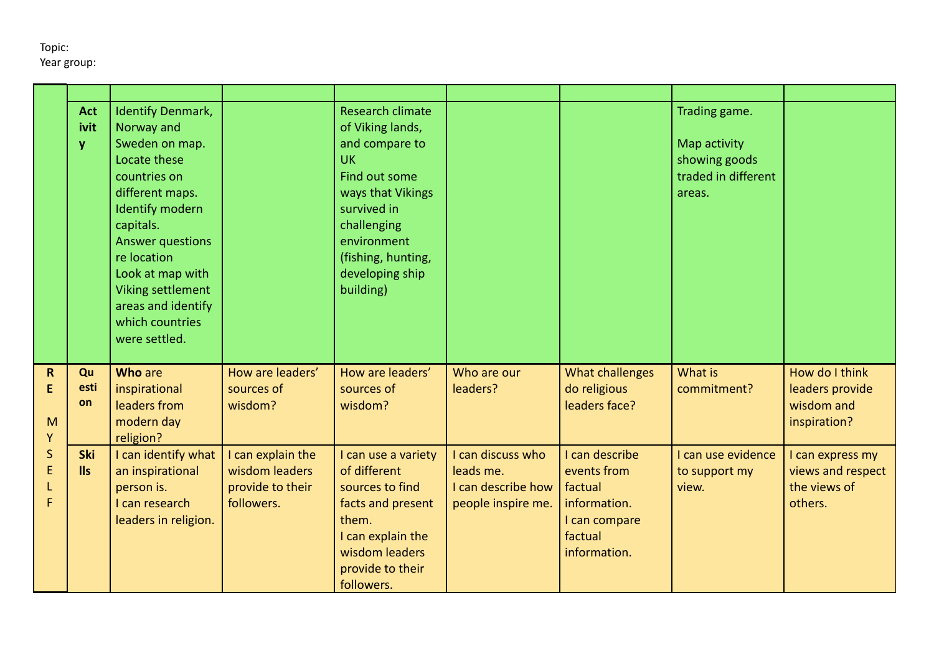|                             | <b>Act</b><br>ivit<br>y  | <b>Identify Denmark,</b><br>Norway and<br>Sweden on map.<br>Locate these<br>countries on<br>different maps.<br><b>Identify modern</b><br>capitals.<br><b>Answer questions</b><br>re location<br>Look at map with<br>Viking settlement<br>areas and identify<br>which countries<br>were settled. |                                                                       | Research climate<br>of Viking lands,<br>and compare to<br><b>UK</b><br>Find out some<br>ways that Vikings<br>survived in<br>challenging<br>environment<br>(fishing, hunting,<br>developing ship<br>building) |                                                                            |                                                                                                      | Trading game.<br>Map activity<br>showing goods<br>traded in different<br>areas. |                                                                  |
|-----------------------------|--------------------------|-------------------------------------------------------------------------------------------------------------------------------------------------------------------------------------------------------------------------------------------------------------------------------------------------|-----------------------------------------------------------------------|--------------------------------------------------------------------------------------------------------------------------------------------------------------------------------------------------------------|----------------------------------------------------------------------------|------------------------------------------------------------------------------------------------------|---------------------------------------------------------------------------------|------------------------------------------------------------------|
| $\mathsf{R}$<br>E<br>M<br>Y | Qu<br>esti<br>on         | <b>Who are</b><br>inspirational<br>leaders from<br>modern day<br>religion?                                                                                                                                                                                                                      | How are leaders'<br>sources of<br>wisdom?                             | How are leaders'<br>sources of<br>wisdom?                                                                                                                                                                    | Who are our<br>leaders?                                                    | What challenges<br>do religious<br>leaders face?                                                     | What is<br>commitment?                                                          | How do I think<br>leaders provide<br>wisdom and<br>inspiration?  |
| $\mathsf S$<br>E<br>F       | <b>Ski</b><br><b>IIs</b> | I can identify what<br>an inspirational<br>person is.<br>I can research<br>leaders in religion.                                                                                                                                                                                                 | I can explain the<br>wisdom leaders<br>provide to their<br>followers. | I can use a variety<br>of different<br>sources to find<br>facts and present<br>them.<br>I can explain the<br>wisdom leaders<br>provide to their<br>followers.                                                | I can discuss who<br>leads me.<br>I can describe how<br>people inspire me. | I can describe<br>events from<br>factual<br>information.<br>I can compare<br>factual<br>information. | I can use evidence<br>to support my<br>view.                                    | I can express my<br>views and respect<br>the views of<br>others. |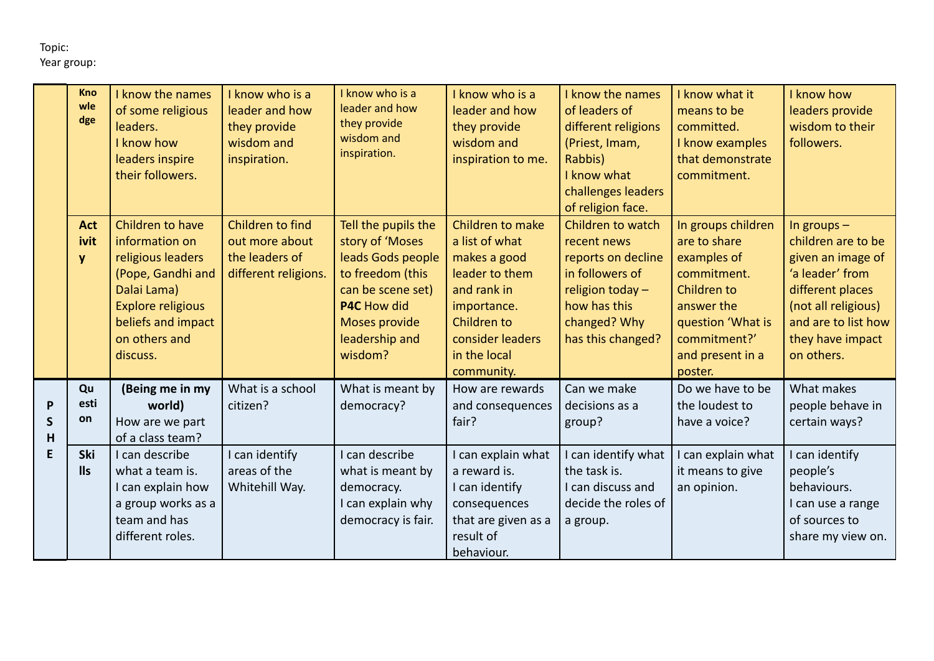|                        | <b>Kno</b><br>wle<br>dge       | I know the names<br>of some religious<br>leaders.<br>I know how<br>leaders inspire<br>their followers.                                                                     | I know who is a<br>leader and how<br>they provide<br>wisdom and<br>inspiration. | I know who is a<br>leader and how<br>they provide<br>wisdom and<br>inspiration.                                                                                          | I know who is a<br>leader and how<br>they provide<br>wisdom and<br>inspiration to me.                                                                               | I know the names<br>of leaders of<br>different religions<br>(Priest, Imam,<br>Rabbis)<br>I know what<br>challenges leaders<br>of religion face.    | I know what it<br>means to be<br>committed.<br>I know examples<br>that demonstrate<br>commitment.                                                                 | I know how<br>leaders provide<br>wisdom to their<br>followers.                                                                                                                  |
|------------------------|--------------------------------|----------------------------------------------------------------------------------------------------------------------------------------------------------------------------|---------------------------------------------------------------------------------|--------------------------------------------------------------------------------------------------------------------------------------------------------------------------|---------------------------------------------------------------------------------------------------------------------------------------------------------------------|----------------------------------------------------------------------------------------------------------------------------------------------------|-------------------------------------------------------------------------------------------------------------------------------------------------------------------|---------------------------------------------------------------------------------------------------------------------------------------------------------------------------------|
|                        | <b>Act</b><br>ivit<br><b>y</b> | Children to have<br>information on<br>religious leaders<br>(Pope, Gandhi and<br>Dalai Lama)<br><b>Explore religious</b><br>beliefs and impact<br>on others and<br>discuss. | Children to find<br>out more about<br>the leaders of<br>different religions.    | Tell the pupils the<br>story of 'Moses<br>leads Gods people<br>to freedom (this<br>can be scene set)<br>P4C How did<br><b>Moses provide</b><br>leadership and<br>wisdom? | Children to make<br>a list of what<br>makes a good<br>leader to them<br>and rank in<br>importance.<br>Children to<br>consider leaders<br>in the local<br>community. | Children to watch<br>recent news<br>reports on decline<br>in followers of<br>religion today -<br>how has this<br>changed? Why<br>has this changed? | In groups children<br>are to share<br>examples of<br>commitment.<br>Children to<br>answer the<br>question 'What is<br>commitment?'<br>and present in a<br>poster. | In groups $-$<br>children are to be<br>given an image of<br>'a leader' from<br>different places<br>(not all religious)<br>and are to list how<br>they have impact<br>on others. |
| P<br>$\mathsf{S}$<br>H | Qu<br>esti<br>on               | (Being me in my<br>world)<br>How are we part<br>of a class team?                                                                                                           | What is a school<br>citizen?                                                    | What is meant by<br>democracy?                                                                                                                                           | How are rewards<br>and consequences<br>fair?                                                                                                                        | Can we make<br>decisions as a<br>group?                                                                                                            | Do we have to be<br>the loudest to<br>have a voice?                                                                                                               | What makes<br>people behave in<br>certain ways?                                                                                                                                 |
| E                      | Ski<br><b>IIs</b>              | I can describe<br>what a team is.<br>I can explain how<br>a group works as a<br>team and has<br>different roles.                                                           | I can identify<br>areas of the<br>Whitehill Way.                                | I can describe<br>what is meant by<br>democracy.<br>I can explain why<br>democracy is fair.                                                                              | I can explain what<br>a reward is.<br>I can identify<br>consequences<br>that are given as a<br>result of<br>behaviour.                                              | I can identify what<br>the task is.<br>I can discuss and<br>decide the roles of<br>a group.                                                        | can explain what<br>it means to give<br>an opinion.                                                                                                               | I can identify<br>people's<br>behaviours.<br>I can use a range<br>of sources to<br>share my view on.                                                                            |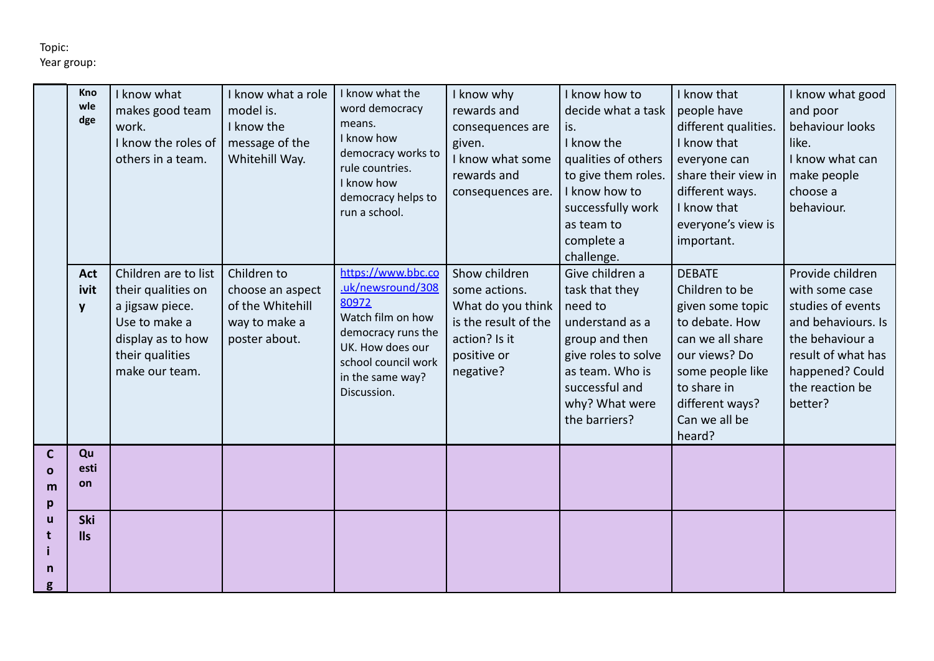|                         | Kno<br>wle<br>dge       | I know what<br>makes good team<br>work.<br>I know the roles of<br>others in a team.                                                      | I know what a role<br>model is.<br>I know the<br>message of the<br>Whitehill Way.     | I know what the<br>word democracy<br>means.<br>I know how<br>democracy works to<br>rule countries.<br>I know how<br>democracy helps to<br>run a school.                  | I know why<br>rewards and<br>consequences are<br>given.<br>I know what some<br>rewards and<br>consequences are.          | I know how to<br>decide what a task<br>is.<br>I know the<br>qualities of others<br>to give them roles.<br>I know how to<br>successfully work<br>as team to<br>complete a<br>challenge. | I know that<br>people have<br>different qualities.<br>I know that<br>everyone can<br>share their view in<br>different ways.<br>I know that<br>everyone's view is<br>important.              | I know what good<br>and poor<br>behaviour looks<br>like.<br>I know what can<br>make people<br>choose a<br>behaviour.                                                    |
|-------------------------|-------------------------|------------------------------------------------------------------------------------------------------------------------------------------|---------------------------------------------------------------------------------------|--------------------------------------------------------------------------------------------------------------------------------------------------------------------------|--------------------------------------------------------------------------------------------------------------------------|----------------------------------------------------------------------------------------------------------------------------------------------------------------------------------------|---------------------------------------------------------------------------------------------------------------------------------------------------------------------------------------------|-------------------------------------------------------------------------------------------------------------------------------------------------------------------------|
|                         | <b>Act</b><br>ivit<br>y | Children are to list<br>their qualities on<br>a jigsaw piece.<br>Use to make a<br>display as to how<br>their qualities<br>make our team. | Children to<br>choose an aspect<br>of the Whitehill<br>way to make a<br>poster about. | https://www.bbc.co<br>uk/newsround/308<br>80972<br>Watch film on how<br>democracy runs the<br>UK. How does our<br>school council work<br>in the same way?<br>Discussion. | Show children<br>some actions.<br>What do you think<br>is the result of the<br>action? Is it<br>positive or<br>negative? | Give children a<br>task that they<br>need to<br>understand as a<br>group and then<br>give roles to solve<br>as team. Who is<br>successful and<br>why? What were<br>the barriers?       | <b>DEBATE</b><br>Children to be<br>given some topic<br>to debate. How<br>can we all share<br>our views? Do<br>some people like<br>to share in<br>different ways?<br>Can we all be<br>heard? | Provide children<br>with some case<br>studies of events<br>and behaviours. Is<br>the behaviour a<br>result of what has<br>happened? Could<br>the reaction be<br>better? |
| С<br>$\Omega$<br>m<br>p | Qu<br>esti<br>on        |                                                                                                                                          |                                                                                       |                                                                                                                                                                          |                                                                                                                          |                                                                                                                                                                                        |                                                                                                                                                                                             |                                                                                                                                                                         |
| u<br>n                  | Ski<br><b>IIs</b>       |                                                                                                                                          |                                                                                       |                                                                                                                                                                          |                                                                                                                          |                                                                                                                                                                                        |                                                                                                                                                                                             |                                                                                                                                                                         |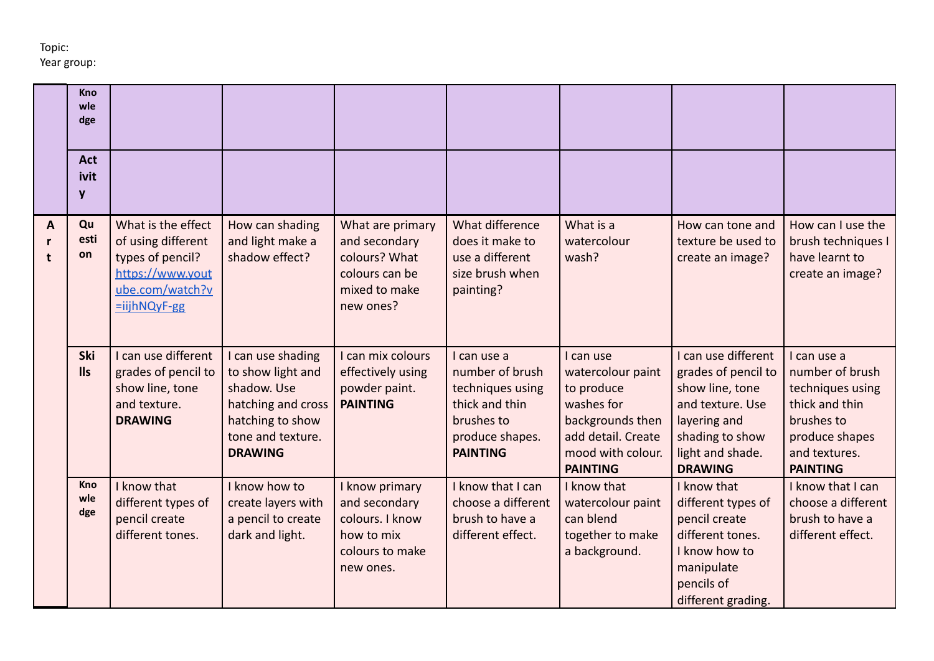|                        | Kno<br>wle<br>dge        |                                                                                                                             |                                                                                                                                        |                                                                                                    |                                                                                                                          |                                                                                                                                              |                                                                                                                                                            |                                                                                                                                          |
|------------------------|--------------------------|-----------------------------------------------------------------------------------------------------------------------------|----------------------------------------------------------------------------------------------------------------------------------------|----------------------------------------------------------------------------------------------------|--------------------------------------------------------------------------------------------------------------------------|----------------------------------------------------------------------------------------------------------------------------------------------|------------------------------------------------------------------------------------------------------------------------------------------------------------|------------------------------------------------------------------------------------------------------------------------------------------|
|                        | <b>Act</b><br>ivit<br>y  |                                                                                                                             |                                                                                                                                        |                                                                                                    |                                                                                                                          |                                                                                                                                              |                                                                                                                                                            |                                                                                                                                          |
| A<br>$\mathbf{r}$<br>t | Qu<br>esti<br>on         | What is the effect<br>of using different<br>types of pencil?<br>https://www.yout<br>ube.com/watch?v<br>$= i i j h N QyF-gg$ | How can shading<br>and light make a<br>shadow effect?                                                                                  | What are primary<br>and secondary<br>colours? What<br>colours can be<br>mixed to make<br>new ones? | What difference<br>does it make to<br>use a different<br>size brush when<br>painting?                                    | What is a<br>watercolour<br>wash?                                                                                                            | How can tone and<br>texture be used to<br>create an image?                                                                                                 | How can I use the<br>brush techniques I<br>have learnt to<br>create an image?                                                            |
|                        | Ski<br><b>IIs</b>        | I can use different<br>grades of pencil to<br>show line, tone<br>and texture.<br><b>DRAWING</b>                             | I can use shading<br>to show light and<br>shadow. Use<br>hatching and cross<br>hatching to show<br>tone and texture.<br><b>DRAWING</b> | I can mix colours<br>effectively using<br>powder paint.<br><b>PAINTING</b>                         | I can use a<br>number of brush<br>techniques using<br>thick and thin<br>brushes to<br>produce shapes.<br><b>PAINTING</b> | I can use<br>watercolour paint<br>to produce<br>washes for<br>backgrounds then<br>add detail. Create<br>mood with colour.<br><b>PAINTING</b> | I can use different<br>grades of pencil to<br>show line, tone<br>and texture. Use<br>layering and<br>shading to show<br>light and shade.<br><b>DRAWING</b> | I can use a<br>number of brush<br>techniques using<br>thick and thin<br>brushes to<br>produce shapes<br>and textures.<br><b>PAINTING</b> |
|                        | <b>Kno</b><br>wle<br>dge | I know that<br>different types of<br>pencil create<br>different tones.                                                      | I know how to<br>create layers with<br>a pencil to create<br>dark and light.                                                           | I know primary<br>and secondary<br>colours. I know<br>how to mix<br>colours to make<br>new ones.   | I know that I can<br>choose a different<br>brush to have a<br>different effect.                                          | I know that<br>watercolour paint<br>can blend<br>together to make<br>a background.                                                           | I know that<br>different types of<br>pencil create<br>different tones.<br>I know how to<br>manipulate<br>pencils of<br>different grading.                  | I know that I can<br>choose a different<br>brush to have a<br>different effect.                                                          |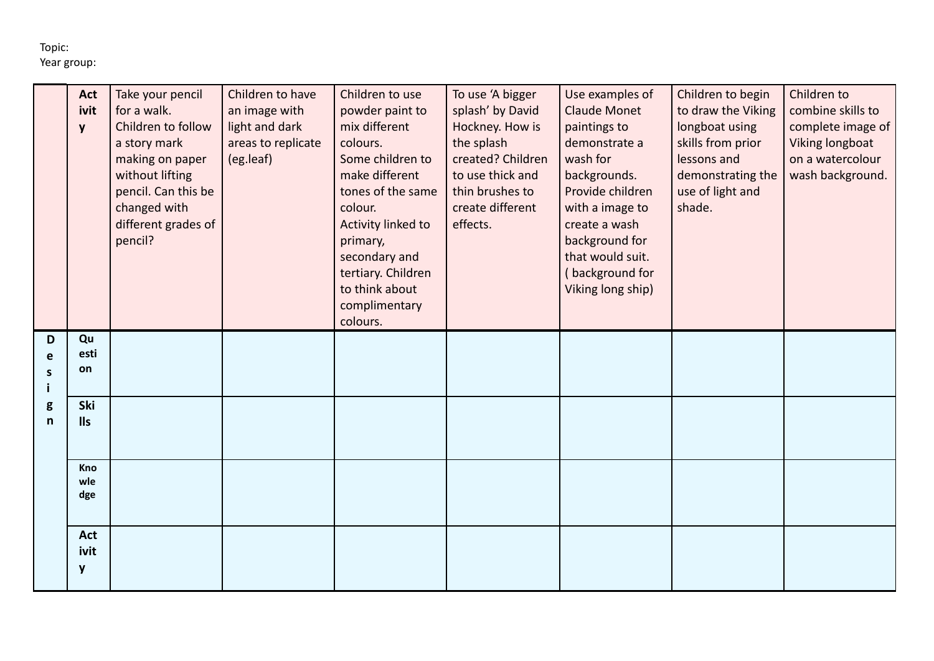|                       | <b>Act</b><br>ivit<br>y                                                  | Take your pencil<br>for a walk.<br>Children to follow<br>a story mark<br>making on paper<br>without lifting<br>pencil. Can this be<br>changed with<br>different grades of<br>pencil? | Children to have<br>an image with<br>light and dark<br>areas to replicate<br>(eg.leaf) | Children to use<br>powder paint to<br>mix different<br>colours.<br>Some children to<br>make different<br>tones of the same<br>colour.<br>Activity linked to<br>primary,<br>secondary and<br>tertiary. Children<br>to think about<br>complimentary<br>colours. | To use 'A bigger<br>splash' by David<br>Hockney. How is<br>the splash<br>created? Children<br>to use thick and<br>thin brushes to<br>create different<br>effects. | Use examples of<br><b>Claude Monet</b><br>paintings to<br>demonstrate a<br>wash for<br>backgrounds.<br>Provide children<br>with a image to<br>create a wash<br>background for<br>that would suit.<br>background for<br>Viking long ship) | Children to begin<br>to draw the Viking<br>longboat using<br>skills from prior<br>lessons and<br>demonstrating the<br>use of light and<br>shade. | Children to<br>combine skills to<br>complete image of<br>Viking longboat<br>on a watercolour<br>wash background. |
|-----------------------|--------------------------------------------------------------------------|--------------------------------------------------------------------------------------------------------------------------------------------------------------------------------------|----------------------------------------------------------------------------------------|---------------------------------------------------------------------------------------------------------------------------------------------------------------------------------------------------------------------------------------------------------------|-------------------------------------------------------------------------------------------------------------------------------------------------------------------|------------------------------------------------------------------------------------------------------------------------------------------------------------------------------------------------------------------------------------------|--------------------------------------------------------------------------------------------------------------------------------------------------|------------------------------------------------------------------------------------------------------------------|
| D<br>e<br>S<br>g<br>n | Qu<br>esti<br>on<br>Ski<br><b>IIs</b><br>Kno<br>wle<br>dge<br><b>Act</b> |                                                                                                                                                                                      |                                                                                        |                                                                                                                                                                                                                                                               |                                                                                                                                                                   |                                                                                                                                                                                                                                          |                                                                                                                                                  |                                                                                                                  |
|                       | ivit<br>y                                                                |                                                                                                                                                                                      |                                                                                        |                                                                                                                                                                                                                                                               |                                                                                                                                                                   |                                                                                                                                                                                                                                          |                                                                                                                                                  |                                                                                                                  |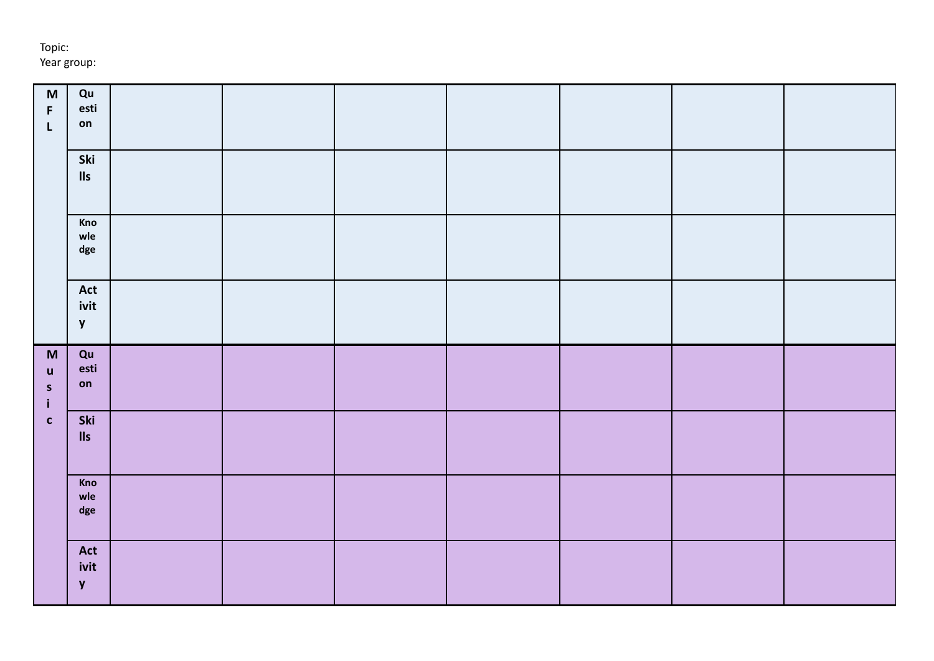| Topic:      |  |
|-------------|--|
| Year group: |  |

| $\mathsf{M}% _{T}=\mathsf{M}_{T}\!\left( a,b\right) ,\ \mathsf{M}_{T}=\mathsf{M}_{T}\!\left( a,b\right) ,$ | Qu                            |  |  |  |  |
|------------------------------------------------------------------------------------------------------------|-------------------------------|--|--|--|--|
| F                                                                                                          | esti                          |  |  |  |  |
| $\mathsf L$                                                                                                | on                            |  |  |  |  |
|                                                                                                            |                               |  |  |  |  |
|                                                                                                            | Ski                           |  |  |  |  |
|                                                                                                            | $\ensuremath{\mathsf{lls}}$   |  |  |  |  |
|                                                                                                            |                               |  |  |  |  |
|                                                                                                            |                               |  |  |  |  |
|                                                                                                            | Kno                           |  |  |  |  |
|                                                                                                            | wle                           |  |  |  |  |
|                                                                                                            | $\operatorname{\mathsf{dge}}$ |  |  |  |  |
|                                                                                                            |                               |  |  |  |  |
|                                                                                                            | Act                           |  |  |  |  |
|                                                                                                            | ivit                          |  |  |  |  |
|                                                                                                            | $\mathbf{y}$                  |  |  |  |  |
|                                                                                                            |                               |  |  |  |  |
|                                                                                                            |                               |  |  |  |  |
|                                                                                                            |                               |  |  |  |  |
| $\mathsf{M}\xspace$                                                                                        | Qu<br>esti                    |  |  |  |  |
| $\boldsymbol{\mathsf{u}}$                                                                                  | on                            |  |  |  |  |
| $\mathsf{s}$<br>$\mathbf{i}$                                                                               |                               |  |  |  |  |
|                                                                                                            |                               |  |  |  |  |
| $\mathbf{C}$                                                                                               | Ski                           |  |  |  |  |
|                                                                                                            | $\mathsf{II}$ s               |  |  |  |  |
|                                                                                                            |                               |  |  |  |  |
|                                                                                                            | Kno                           |  |  |  |  |
|                                                                                                            | wle                           |  |  |  |  |
|                                                                                                            | $\deg$                        |  |  |  |  |
|                                                                                                            |                               |  |  |  |  |
|                                                                                                            |                               |  |  |  |  |
|                                                                                                            | Act                           |  |  |  |  |
|                                                                                                            | ivit<br>$\mathbf{y}$          |  |  |  |  |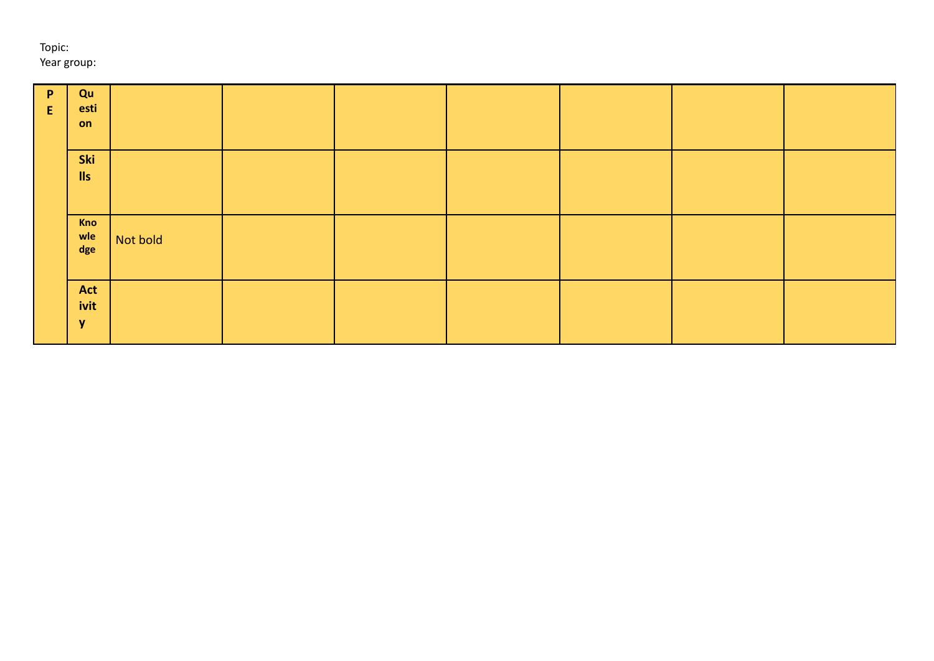| $\mathsf{P}$<br>E | Qu<br>esti<br>on        |          |  |  |  |
|-------------------|-------------------------|----------|--|--|--|
|                   | Ski<br>$\mathsf{II}$ s  |          |  |  |  |
|                   | Kno<br>wle<br>dge       | Not bold |  |  |  |
|                   | Act<br>ivit<br><b>y</b> |          |  |  |  |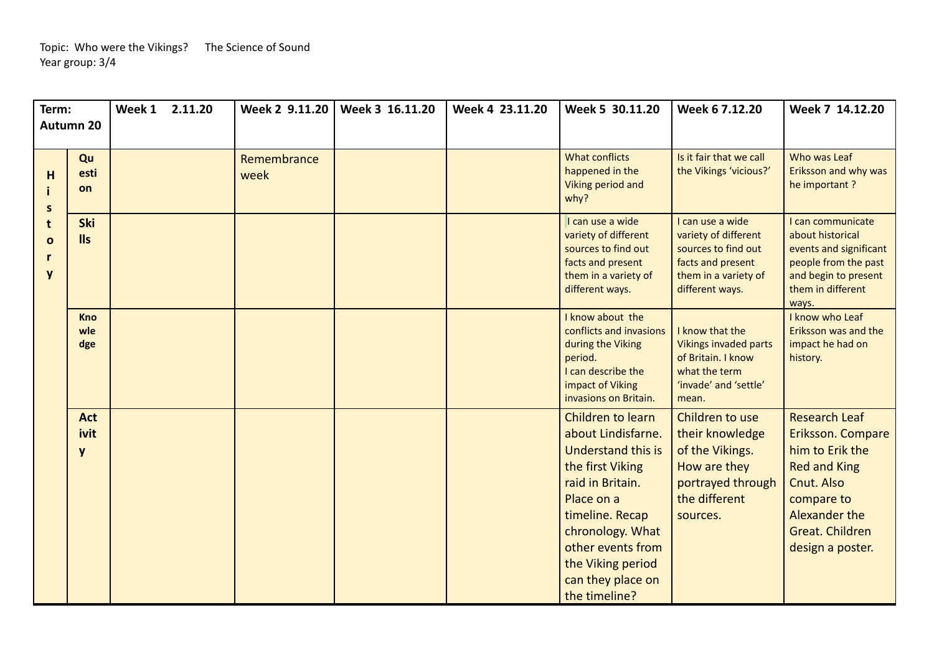| Term:                       | Autumn 20                | Week 1 2.11.20 | Week 2 9.11.20      | Week 3 16.11.20 | Week 4 23.11.20 | Week 5 30.11.20                                                                                                                                                                                                                                   | Week 6 7.12.20                                                                                                                  | Week 7 14.12.20                                                                                                                                                         |
|-----------------------------|--------------------------|----------------|---------------------|-----------------|-----------------|---------------------------------------------------------------------------------------------------------------------------------------------------------------------------------------------------------------------------------------------------|---------------------------------------------------------------------------------------------------------------------------------|-------------------------------------------------------------------------------------------------------------------------------------------------------------------------|
|                             |                          |                |                     |                 |                 |                                                                                                                                                                                                                                                   |                                                                                                                                 |                                                                                                                                                                         |
| H<br>$\mathsf{s}$           | Qu<br>esti<br>on         |                | Remembrance<br>week |                 |                 | <b>What conflicts</b><br>happened in the<br>Viking period and<br>why?                                                                                                                                                                             | Is it fair that we call<br>the Vikings 'vicious?'                                                                               | Who was Leaf<br>Eriksson and why was<br>he important?                                                                                                                   |
| t<br>$\mathbf{o}$<br>r<br>y | <b>Ski</b><br><b>IIs</b> |                |                     |                 |                 | I can use a wide<br>variety of different<br>sources to find out<br>facts and present<br>them in a variety of<br>different ways.                                                                                                                   | I can use a wide<br>variety of different<br>sources to find out<br>facts and present<br>them in a variety of<br>different ways. | I can communicate<br>about historical<br>events and significant<br>people from the past<br>and begin to present<br>them in different<br>ways.                           |
|                             | <b>Kno</b><br>wle<br>dge |                |                     |                 |                 | I know about the<br>conflicts and invasions<br>during the Viking<br>period.<br>I can describe the<br>impact of Viking<br>invasions on Britain.                                                                                                    | I know that the<br><b>Vikings invaded parts</b><br>of Britain. I know<br>what the term<br>'invade' and 'settle'<br>mean.        | I know who Leaf<br>Eriksson was and the<br>impact he had on<br>history.                                                                                                 |
|                             | <b>Act</b><br>ivit<br>y  |                |                     |                 |                 | Children to learn<br>about Lindisfarne.<br><b>Understand this is</b><br>the first Viking<br>raid in Britain.<br>Place on a<br>timeline. Recap<br>chronology. What<br>other events from<br>the Viking period<br>can they place on<br>the timeline? | Children to use<br>their knowledge<br>of the Vikings.<br>How are they<br>portrayed through<br>the different<br>sources.         | <b>Research Leaf</b><br>Eriksson. Compare<br>him to Erik the<br><b>Red and King</b><br>Cnut. Also<br>compare to<br>Alexander the<br>Great. Children<br>design a poster. |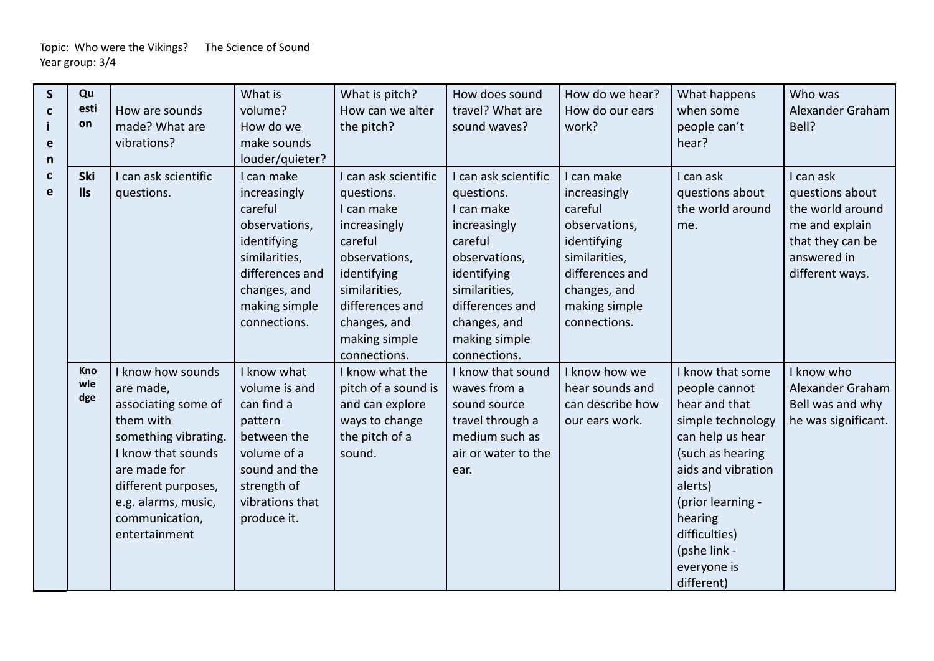| $\mathsf{S}$<br>C<br>e<br>n | Qu<br>esti<br>on  | How are sounds<br>made? What are<br>vibrations?                                                                                                                                                                   | What is<br>volume?<br>How do we<br>make sounds<br>louder/quieter?                                                                                          | What is pitch?<br>How can we alter<br>the pitch?                                                                                                                                                 | How does sound<br>travel? What are<br>sound waves?                                                                                                                                             | How do we hear?<br>How do our ears<br>work?                                                                                                                | What happens<br>when some<br>people can't<br>hear?                                                                                                                                                                                             | Who was<br>Alexander Graham<br>Bell?                                                                                     |
|-----------------------------|-------------------|-------------------------------------------------------------------------------------------------------------------------------------------------------------------------------------------------------------------|------------------------------------------------------------------------------------------------------------------------------------------------------------|--------------------------------------------------------------------------------------------------------------------------------------------------------------------------------------------------|------------------------------------------------------------------------------------------------------------------------------------------------------------------------------------------------|------------------------------------------------------------------------------------------------------------------------------------------------------------|------------------------------------------------------------------------------------------------------------------------------------------------------------------------------------------------------------------------------------------------|--------------------------------------------------------------------------------------------------------------------------|
| C<br>e                      | Ski<br><b>IIs</b> | I can ask scientific<br>questions.                                                                                                                                                                                | I can make<br>increasingly<br>careful<br>observations,<br>identifying<br>similarities,<br>differences and<br>changes, and<br>making simple<br>connections. | I can ask scientific<br>questions.<br>I can make<br>increasingly<br>careful<br>observations,<br>identifying<br>similarities,<br>differences and<br>changes, and<br>making simple<br>connections. | can ask scientific<br>questions.<br>I can make<br>increasingly<br>careful<br>observations,<br>identifying<br>similarities,<br>differences and<br>changes, and<br>making simple<br>connections. | I can make<br>increasingly<br>careful<br>observations,<br>identifying<br>similarities,<br>differences and<br>changes, and<br>making simple<br>connections. | I can ask<br>questions about<br>the world around<br>me.                                                                                                                                                                                        | I can ask<br>questions about<br>the world around<br>me and explain<br>that they can be<br>answered in<br>different ways. |
|                             | Kno<br>wle<br>dge | I know how sounds<br>are made,<br>associating some of<br>them with<br>something vibrating.<br>I know that sounds<br>are made for<br>different purposes,<br>e.g. alarms, music,<br>communication,<br>entertainment | I know what<br>volume is and<br>can find a<br>pattern<br>between the<br>volume of a<br>sound and the<br>strength of<br>vibrations that<br>produce it.      | I know what the<br>pitch of a sound is<br>and can explore<br>ways to change<br>the pitch of a<br>sound.                                                                                          | I know that sound<br>waves from a<br>sound source<br>travel through a<br>medium such as<br>air or water to the<br>ear.                                                                         | I know how we<br>hear sounds and<br>can describe how<br>our ears work.                                                                                     | I know that some<br>people cannot<br>hear and that<br>simple technology<br>can help us hear<br>(such as hearing<br>aids and vibration<br>alerts)<br>(prior learning -<br>hearing<br>difficulties)<br>(pshe link -<br>everyone is<br>different) | I know who<br>Alexander Graham<br>Bell was and why<br>he was significant.                                                |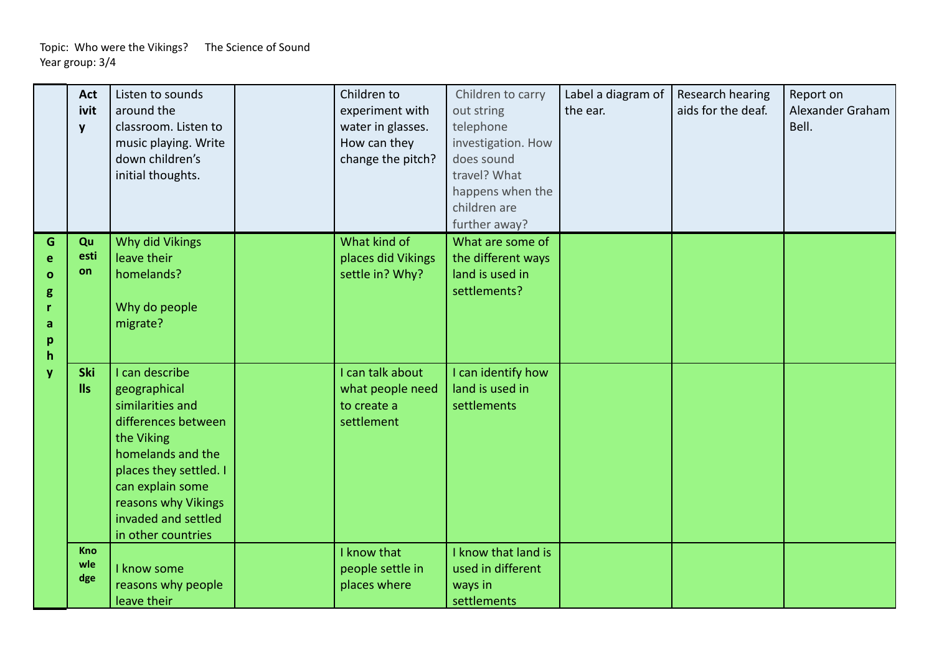|                                                       | <b>Act</b><br>ivit<br>y       | Listen to sounds<br>around the<br>classroom. Listen to<br>music playing. Write<br>down children's<br>initial thoughts.                                                                                                         | Children to<br>experiment with<br>water in glasses.<br>How can they<br>change the pitch? | Children to carry<br>out string<br>telephone<br>investigation. How<br>does sound<br>travel? What<br>happens when the<br>children are<br>further away? | Label a diagram of<br>the ear. | Research hearing<br>aids for the deaf. | Report on<br>Alexander Graham<br>Bell. |
|-------------------------------------------------------|-------------------------------|--------------------------------------------------------------------------------------------------------------------------------------------------------------------------------------------------------------------------------|------------------------------------------------------------------------------------------|-------------------------------------------------------------------------------------------------------------------------------------------------------|--------------------------------|----------------------------------------|----------------------------------------|
| G<br>e<br>$\mathbf{o}$<br>g<br>a<br>p<br>$\mathsf{h}$ | Qu<br>esti<br>on              | Why did Vikings<br>leave their<br>homelands?<br>Why do people<br>migrate?                                                                                                                                                      | What kind of<br>places did Vikings<br>settle in? Why?                                    | What are some of<br>the different ways<br>land is used in<br>settlements?                                                                             |                                |                                        |                                        |
| y                                                     | <b>Ski</b><br>II <sub>S</sub> | I can describe<br>geographical<br>similarities and<br>differences between<br>the Viking<br>homelands and the<br>places they settled. I<br>can explain some<br>reasons why Vikings<br>invaded and settled<br>in other countries | I can talk about<br>what people need<br>to create a<br>settlement                        | I can identify how<br>land is used in<br>settlements                                                                                                  |                                |                                        |                                        |
|                                                       | Kno<br>wle<br>dge             | I know some<br>reasons why people<br>leave their                                                                                                                                                                               | I know that<br>people settle in<br>places where                                          | I know that land is<br>used in different<br>ways in<br>settlements                                                                                    |                                |                                        |                                        |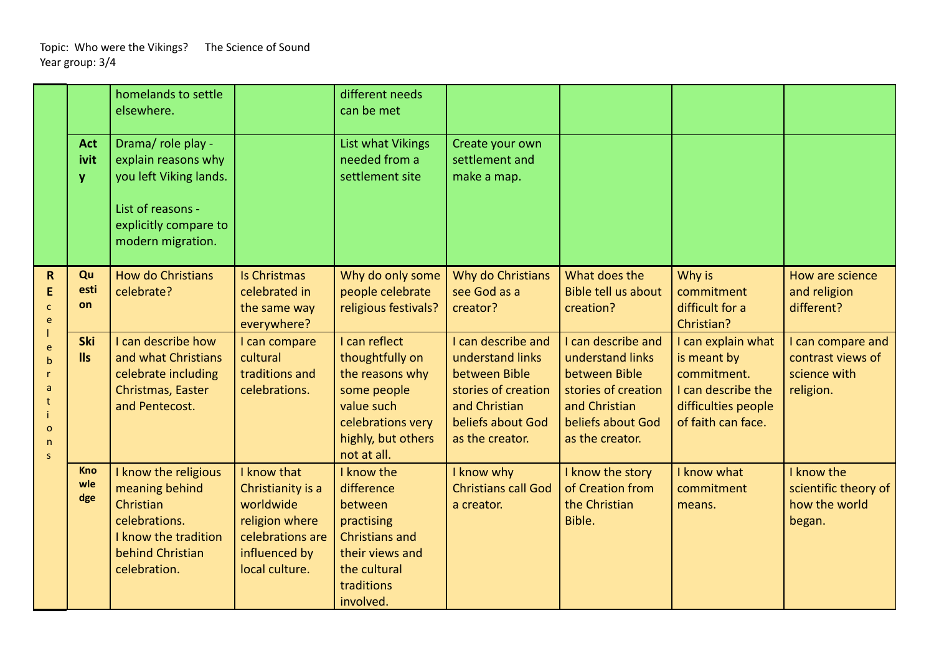|                                                              |                          | homelands to settle<br>elsewhere.                                                                                                      |                                                                                                                        | different needs<br>can be met                                                                                                              |                                                                                                                                         |                                                                                                                                         |                                                                                                                     |                                                                     |
|--------------------------------------------------------------|--------------------------|----------------------------------------------------------------------------------------------------------------------------------------|------------------------------------------------------------------------------------------------------------------------|--------------------------------------------------------------------------------------------------------------------------------------------|-----------------------------------------------------------------------------------------------------------------------------------------|-----------------------------------------------------------------------------------------------------------------------------------------|---------------------------------------------------------------------------------------------------------------------|---------------------------------------------------------------------|
|                                                              | <b>Act</b><br>ivit<br>V  | Drama/ role play -<br>explain reasons why<br>you left Viking lands.<br>List of reasons -<br>explicitly compare to<br>modern migration. |                                                                                                                        | List what Vikings<br>needed from a<br>settlement site                                                                                      | Create your own<br>settlement and<br>make a map.                                                                                        |                                                                                                                                         |                                                                                                                     |                                                                     |
| $\mathsf{R}$<br>E<br>C<br>e                                  | Qu<br>esti<br>on         | <b>How do Christians</b><br>celebrate?                                                                                                 | <b>Is Christmas</b><br>celebrated in<br>the same way<br>everywhere?                                                    | Why do only some<br>people celebrate<br>religious festivals?                                                                               | Why do Christians<br>see God as a<br>creator?                                                                                           | What does the<br>Bible tell us about<br>creation?                                                                                       | Why is<br>commitment<br>difficult for a<br>Christian?                                                               | How are science<br>and religion<br>different?                       |
| e<br>$\mathsf{h}$<br>a<br>$\mathbf{o}$<br>$\mathsf{n}$<br>s. | <b>Ski</b><br><b>IIs</b> | I can describe how<br>and what Christians<br>celebrate including<br>Christmas, Easter<br>and Pentecost.                                | I can compare<br>cultural<br>traditions and<br>celebrations.                                                           | I can reflect<br>thoughtfully on<br>the reasons why<br>some people<br>value such<br>celebrations very<br>highly, but others<br>not at all. | I can describe and<br>understand links<br>between Bible<br>stories of creation<br>and Christian<br>beliefs about God<br>as the creator. | I can describe and<br>understand links<br>between Bible<br>stories of creation<br>and Christian<br>beliefs about God<br>as the creator. | I can explain what<br>is meant by<br>commitment.<br>I can describe the<br>difficulties people<br>of faith can face. | I can compare and<br>contrast views of<br>science with<br>religion. |
|                                                              | <b>Kno</b><br>wle<br>dge | I know the religious<br>meaning behind<br>Christian<br>celebrations.<br>I know the tradition<br>behind Christian<br>celebration.       | I know that<br>Christianity is a<br>worldwide<br>religion where<br>celebrations are<br>influenced by<br>local culture. | I know the<br>difference<br>between<br>practising<br><b>Christians and</b><br>their views and<br>the cultural<br>traditions<br>involved.   | I know why<br><b>Christians call God</b><br>a creator.                                                                                  | I know the story<br>of Creation from<br>the Christian<br>Bible.                                                                         | I know what<br>commitment<br>means.                                                                                 | I know the<br>scientific theory of<br>how the world<br>began.       |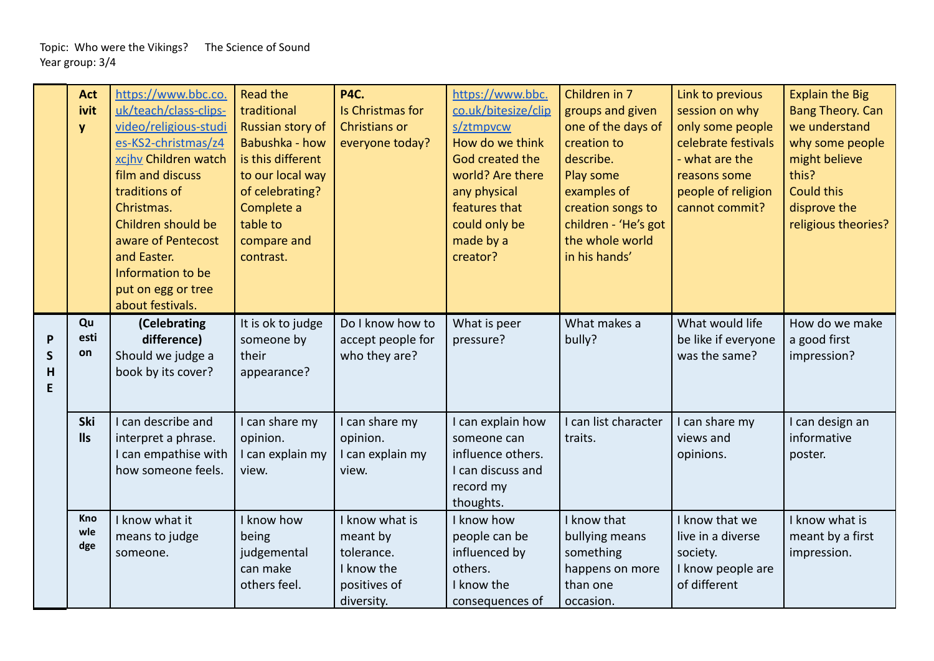|                              | <b>Act</b><br>ivit<br>y | https://www.bbc.co.<br>uk/teach/class-clips-<br>video/religious-studi<br>es-KS2-christmas/z4<br>xcihy Children watch<br>film and discuss<br>traditions of<br>Christmas.<br>Children should be<br>aware of Pentecost<br>and Easter.<br>Information to be<br>put on egg or tree<br>about festivals. | <b>Read the</b><br>traditional<br>Russian story of<br>Babushka - how<br>is this different<br>to our local way<br>of celebrating?<br>Complete a<br>table to<br>compare and<br>contrast.<br>It is ok to judge | <b>P4C.</b><br>Is Christmas for<br>Christians or<br>everyone today?<br>Do I know how to | https://www.bbc.<br>co.uk/bitesize/clip<br>s/ztmpvcw<br>How do we think<br>God created the<br>world? Are there<br>any physical<br>features that<br>could only be<br>made by a<br>creator? | Children in 7<br>groups and given<br>one of the days of<br>creation to<br>describe.<br>Play some<br>examples of<br>creation songs to<br>children - 'He's got<br>the whole world<br>in his hands'<br>What makes a | Link to previous<br>session on why<br>only some people<br>celebrate festivals<br>- what are the<br>reasons some<br>people of religion<br>cannot commit?<br>What would life | <b>Explain the Big</b><br><b>Bang Theory. Can</b><br>we understand<br>why some people<br>might believe<br>this?<br><b>Could this</b><br>disprove the<br>religious theories?<br>How do we make |
|------------------------------|-------------------------|---------------------------------------------------------------------------------------------------------------------------------------------------------------------------------------------------------------------------------------------------------------------------------------------------|-------------------------------------------------------------------------------------------------------------------------------------------------------------------------------------------------------------|-----------------------------------------------------------------------------------------|-------------------------------------------------------------------------------------------------------------------------------------------------------------------------------------------|------------------------------------------------------------------------------------------------------------------------------------------------------------------------------------------------------------------|----------------------------------------------------------------------------------------------------------------------------------------------------------------------------|-----------------------------------------------------------------------------------------------------------------------------------------------------------------------------------------------|
| $\mathsf{P}$<br>$\mathsf{S}$ | Qu<br>esti<br>on        | (Celebrating<br>difference)<br>Should we judge a                                                                                                                                                                                                                                                  | someone by<br>their                                                                                                                                                                                         | accept people for<br>who they are?                                                      | What is peer<br>pressure?                                                                                                                                                                 | bully?                                                                                                                                                                                                           | be like if everyone<br>was the same?                                                                                                                                       | a good first<br>impression?                                                                                                                                                                   |
| H<br>E                       |                         | book by its cover?                                                                                                                                                                                                                                                                                | appearance?                                                                                                                                                                                                 |                                                                                         |                                                                                                                                                                                           |                                                                                                                                                                                                                  |                                                                                                                                                                            |                                                                                                                                                                                               |
|                              | Ski<br><b>IIs</b>       | I can describe and                                                                                                                                                                                                                                                                                | I can share my<br>opinion.                                                                                                                                                                                  | I can share my<br>opinion.                                                              | I can explain how<br>someone can                                                                                                                                                          | I can list character<br>traits.                                                                                                                                                                                  | I can share my<br>views and                                                                                                                                                | I can design an<br>informative                                                                                                                                                                |
|                              |                         | interpret a phrase.<br>I can empathise with                                                                                                                                                                                                                                                       | I can explain my                                                                                                                                                                                            | I can explain my                                                                        | influence others.                                                                                                                                                                         |                                                                                                                                                                                                                  | opinions.                                                                                                                                                                  | poster.                                                                                                                                                                                       |
|                              |                         | how someone feels.                                                                                                                                                                                                                                                                                | view.                                                                                                                                                                                                       | view.                                                                                   | I can discuss and                                                                                                                                                                         |                                                                                                                                                                                                                  |                                                                                                                                                                            |                                                                                                                                                                                               |
|                              |                         |                                                                                                                                                                                                                                                                                                   |                                                                                                                                                                                                             |                                                                                         | record my<br>thoughts.                                                                                                                                                                    |                                                                                                                                                                                                                  |                                                                                                                                                                            |                                                                                                                                                                                               |
|                              | Kno                     | I know what it                                                                                                                                                                                                                                                                                    | I know how                                                                                                                                                                                                  | I know what is                                                                          | I know how                                                                                                                                                                                | I know that                                                                                                                                                                                                      | I know that we                                                                                                                                                             | I know what is                                                                                                                                                                                |
|                              | wle                     | means to judge                                                                                                                                                                                                                                                                                    | being                                                                                                                                                                                                       | meant by                                                                                | people can be                                                                                                                                                                             | bullying means                                                                                                                                                                                                   | live in a diverse                                                                                                                                                          | meant by a first                                                                                                                                                                              |
|                              | dge                     | someone.                                                                                                                                                                                                                                                                                          | judgemental                                                                                                                                                                                                 | tolerance.                                                                              | influenced by                                                                                                                                                                             | something                                                                                                                                                                                                        | society.                                                                                                                                                                   | impression.                                                                                                                                                                                   |
|                              |                         |                                                                                                                                                                                                                                                                                                   | can make                                                                                                                                                                                                    | I know the                                                                              | others.                                                                                                                                                                                   | happens on more                                                                                                                                                                                                  | I know people are                                                                                                                                                          |                                                                                                                                                                                               |
|                              |                         |                                                                                                                                                                                                                                                                                                   | others feel.                                                                                                                                                                                                | positives of                                                                            | I know the                                                                                                                                                                                | than one                                                                                                                                                                                                         | of different                                                                                                                                                               |                                                                                                                                                                                               |
|                              |                         |                                                                                                                                                                                                                                                                                                   |                                                                                                                                                                                                             | diversity.                                                                              | consequences of                                                                                                                                                                           | occasion.                                                                                                                                                                                                        |                                                                                                                                                                            |                                                                                                                                                                                               |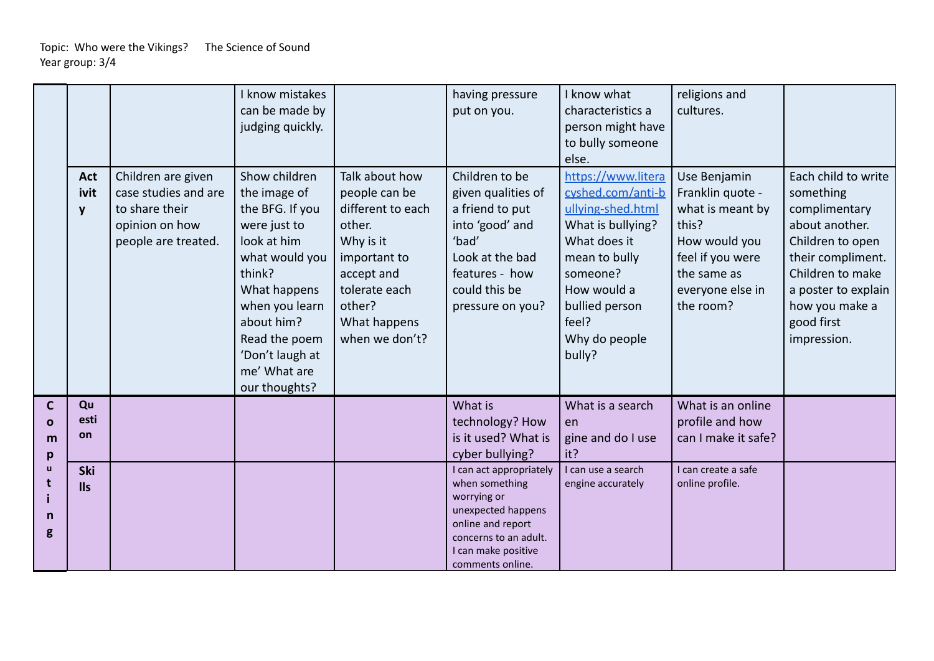|                                        | Act<br>ivit             | Children are given<br>case studies and are              | I know mistakes<br>can be made by<br>judging quickly.<br>Show children<br>the image of                                                                                                          | Talk about how<br>people can be                                                                                                     | having pressure<br>put on you.<br>Children to be<br>given qualities of                                                                                                  | I know what<br>characteristics a<br>person might have<br>to bully someone<br>else.<br>https://www.litera<br>cyshed.com/anti-b                            | religions and<br>cultures.<br>Use Benjamin<br>Franklin quote -                                                 | Each child to write<br>something                                                                                                                                   |
|----------------------------------------|-------------------------|---------------------------------------------------------|-------------------------------------------------------------------------------------------------------------------------------------------------------------------------------------------------|-------------------------------------------------------------------------------------------------------------------------------------|-------------------------------------------------------------------------------------------------------------------------------------------------------------------------|----------------------------------------------------------------------------------------------------------------------------------------------------------|----------------------------------------------------------------------------------------------------------------|--------------------------------------------------------------------------------------------------------------------------------------------------------------------|
|                                        | y                       | to share their<br>opinion on how<br>people are treated. | the BFG. If you<br>were just to<br>look at him<br>what would you<br>think?<br>What happens<br>when you learn<br>about him?<br>Read the poem<br>'Don't laugh at<br>me' What are<br>our thoughts? | different to each<br>other.<br>Why is it<br>important to<br>accept and<br>tolerate each<br>other?<br>What happens<br>when we don't? | a friend to put<br>into 'good' and<br>'bad'<br>Look at the bad<br>features - how<br>could this be<br>pressure on you?                                                   | ullying-shed.html<br>What is bullying?<br>What does it<br>mean to bully<br>someone?<br>How would a<br>bullied person<br>feel?<br>Why do people<br>bully? | what is meant by<br>this?<br>How would you<br>feel if you were<br>the same as<br>everyone else in<br>the room? | complimentary<br>about another.<br>Children to open<br>their compliment.<br>Children to make<br>a poster to explain<br>how you make a<br>good first<br>impression. |
| $\mathbf{C}$<br>$\mathbf{o}$<br>m<br>p | Qu<br>esti<br><b>on</b> |                                                         |                                                                                                                                                                                                 |                                                                                                                                     | What is<br>technology? How<br>is it used? What is<br>cyber bullying?                                                                                                    | What is a search<br>en<br>gine and do I use<br>it?                                                                                                       | What is an online<br>profile and how<br>can I make it safe?                                                    |                                                                                                                                                                    |
| $\mathbf{u}$<br>t<br>n<br>g            | Ski<br><b>IIs</b>       |                                                         |                                                                                                                                                                                                 |                                                                                                                                     | I can act appropriately<br>when something<br>worrying or<br>unexpected happens<br>online and report<br>concerns to an adult.<br>I can make positive<br>comments online. | I can use a search<br>engine accurately                                                                                                                  | I can create a safe<br>online profile.                                                                         |                                                                                                                                                                    |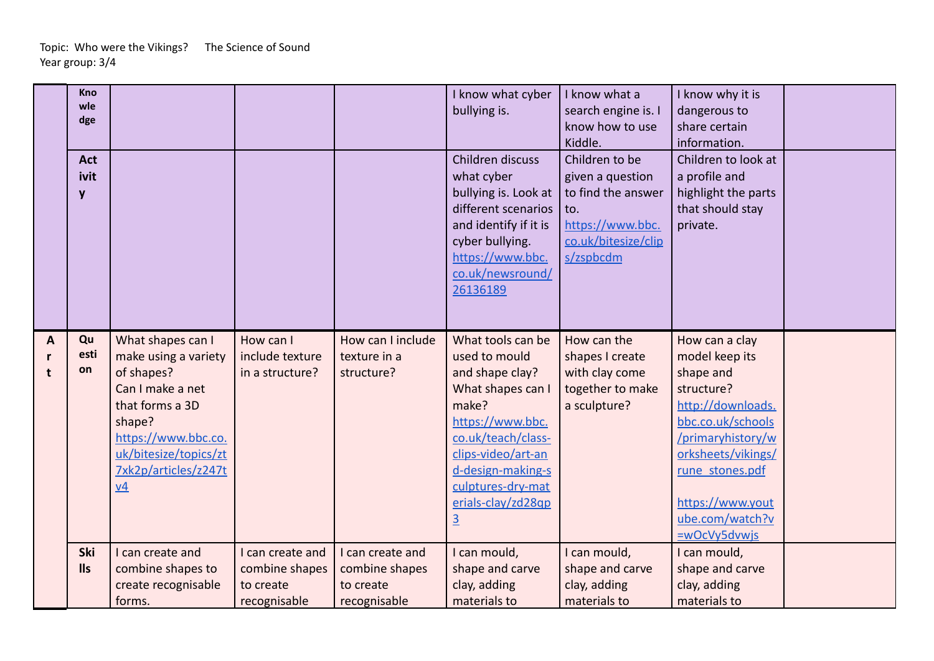|                   | <b>Kno</b><br>wle<br>dge<br><b>Act</b><br>ivit<br>y |                                               |                              |                                   | I know what cyber<br>bullying is.<br>Children discuss<br>what cyber<br>bullying is. Look at<br>different scenarios<br>and identify if it is<br>cyber bullying.<br>https://www.bbc.<br>co.uk/newsround/<br>26136189 | I know what a<br>search engine is. I<br>know how to use<br>Kiddle.<br>Children to be<br>given a question<br>to find the answer<br>to.<br>https://www.bbc.<br>co.uk/bitesize/clip<br>s/zspbcdm | I know why it is<br>dangerous to<br>share certain<br>information.<br>Children to look at<br>a profile and<br>highlight the parts<br>that should stay<br>private. |  |
|-------------------|-----------------------------------------------------|-----------------------------------------------|------------------------------|-----------------------------------|--------------------------------------------------------------------------------------------------------------------------------------------------------------------------------------------------------------------|-----------------------------------------------------------------------------------------------------------------------------------------------------------------------------------------------|------------------------------------------------------------------------------------------------------------------------------------------------------------------|--|
| A<br>$\mathbf{r}$ | Qu<br>esti                                          | What shapes can I<br>make using a variety     | How can I<br>include texture | How can I include<br>texture in a | What tools can be<br>used to mould                                                                                                                                                                                 | How can the<br>shapes I create                                                                                                                                                                | How can a clay<br>model keep its                                                                                                                                 |  |
| t                 | on                                                  | of shapes?<br>Can I make a net                | in a structure?              | structure?                        | and shape clay?<br>What shapes can I                                                                                                                                                                               | with clay come<br>together to make                                                                                                                                                            | shape and<br>structure?                                                                                                                                          |  |
|                   |                                                     | that forms a 3D                               |                              |                                   | make?                                                                                                                                                                                                              | a sculpture?                                                                                                                                                                                  | http://downloads.                                                                                                                                                |  |
|                   |                                                     | shape?                                        |                              |                                   | https://www.bbc.                                                                                                                                                                                                   |                                                                                                                                                                                               | bbc.co.uk/schools                                                                                                                                                |  |
|                   |                                                     | https://www.bbc.co.                           |                              |                                   | co.uk/teach/class-                                                                                                                                                                                                 |                                                                                                                                                                                               | /primaryhistory/w                                                                                                                                                |  |
|                   |                                                     | uk/bitesize/topics/zt<br>7xk2p/articles/z247t |                              |                                   | clips-video/art-an<br>d-design-making-s                                                                                                                                                                            |                                                                                                                                                                                               | orksheets/vikings/<br>rune stones.pdf                                                                                                                            |  |
|                   |                                                     | $\underline{v4}$                              |                              |                                   | culptures-dry-mat                                                                                                                                                                                                  |                                                                                                                                                                                               |                                                                                                                                                                  |  |
|                   |                                                     |                                               |                              |                                   | erials-clay/zd28qp                                                                                                                                                                                                 |                                                                                                                                                                                               | https://www.yout                                                                                                                                                 |  |
|                   |                                                     |                                               |                              |                                   | $\overline{3}$                                                                                                                                                                                                     |                                                                                                                                                                                               | ube.com/watch?v                                                                                                                                                  |  |
|                   |                                                     |                                               |                              |                                   |                                                                                                                                                                                                                    |                                                                                                                                                                                               | =wOcVy5dvwjs                                                                                                                                                     |  |
|                   | Ski                                                 | I can create and                              | I can create and             | I can create and                  | I can mould,                                                                                                                                                                                                       | can mould,                                                                                                                                                                                    | I can mould,                                                                                                                                                     |  |
|                   | <b>IIs</b>                                          | combine shapes to                             | combine shapes               | combine shapes                    | shape and carve                                                                                                                                                                                                    | shape and carve                                                                                                                                                                               | shape and carve                                                                                                                                                  |  |
|                   |                                                     | create recognisable                           | to create                    | to create                         | clay, adding                                                                                                                                                                                                       | clay, adding                                                                                                                                                                                  | clay, adding                                                                                                                                                     |  |
|                   |                                                     | forms.                                        | recognisable                 | recognisable                      | materials to                                                                                                                                                                                                       | materials to                                                                                                                                                                                  | materials to                                                                                                                                                     |  |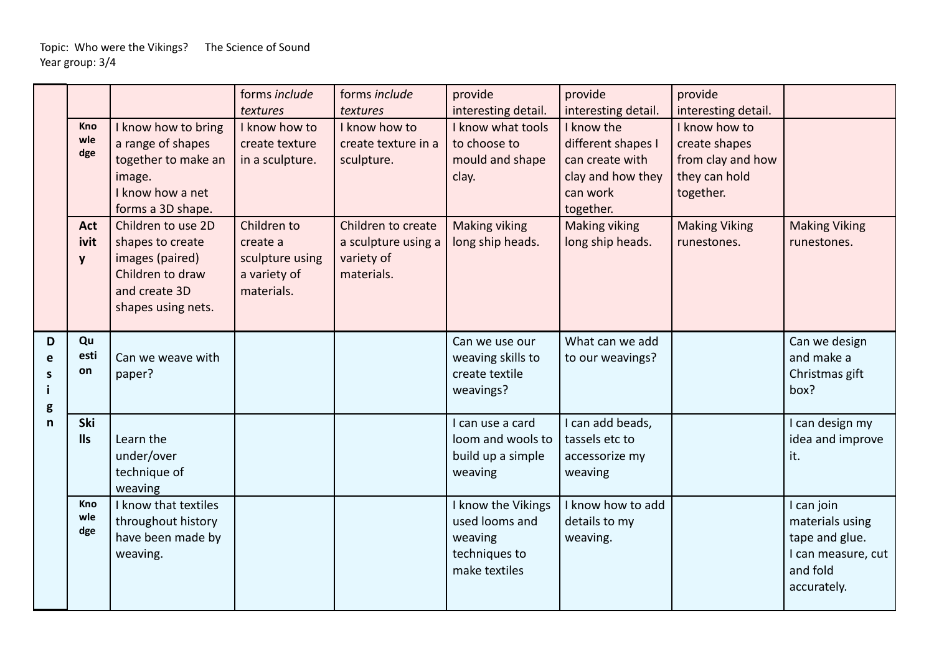|                        |                          |                                                                                                                      | forms include<br>textures                                                | forms include<br>textures                                             | provide<br>interesting detail.                                                    | provide<br>interesting detail.                                                                    | provide<br>interesting detail.                                                    |                                                                                                  |
|------------------------|--------------------------|----------------------------------------------------------------------------------------------------------------------|--------------------------------------------------------------------------|-----------------------------------------------------------------------|-----------------------------------------------------------------------------------|---------------------------------------------------------------------------------------------------|-----------------------------------------------------------------------------------|--------------------------------------------------------------------------------------------------|
|                        | Kno<br>wle<br>dge        | I know how to bring<br>a range of shapes<br>together to make an<br>image.<br>I know how a net<br>forms a 3D shape.   | I know how to<br>create texture<br>in a sculpture.                       | I know how to<br>create texture in a<br>sculpture.                    | I know what tools<br>to choose to<br>mould and shape<br>clay.                     | I know the<br>different shapes I<br>can create with<br>clay and how they<br>can work<br>together. | I know how to<br>create shapes<br>from clay and how<br>they can hold<br>together. |                                                                                                  |
|                        | <b>Act</b><br>ivit<br>y  | Children to use 2D<br>shapes to create<br>images (paired)<br>Children to draw<br>and create 3D<br>shapes using nets. | Children to<br>create a<br>sculpture using<br>a variety of<br>materials. | Children to create<br>a sculpture using a<br>variety of<br>materials. | <b>Making viking</b><br>long ship heads.                                          | Making viking<br>long ship heads.                                                                 | <b>Making Viking</b><br>runestones.                                               | <b>Making Viking</b><br>runestones.                                                              |
| D<br>e<br>S<br>Ť.<br>g | Qu<br>esti<br>on         | Can we weave with<br>paper?                                                                                          |                                                                          |                                                                       | Can we use our<br>weaving skills to<br>create textile<br>weavings?                | What can we add<br>to our weavings?                                                               |                                                                                   | Can we design<br>and make a<br>Christmas gift<br>box?                                            |
| n                      | <b>Ski</b><br><b>IIs</b> | Learn the<br>under/over<br>technique of<br>weaving                                                                   |                                                                          |                                                                       | I can use a card<br>loom and wools to<br>build up a simple<br>weaving             | I can add beads,<br>tassels etc to<br>accessorize my<br>weaving                                   |                                                                                   | I can design my<br>idea and improve<br>it.                                                       |
|                        | Kno<br>wle<br>dge        | I know that textiles<br>throughout history<br>have been made by<br>weaving.                                          |                                                                          |                                                                       | I know the Vikings<br>used looms and<br>weaving<br>techniques to<br>make textiles | I know how to add<br>details to my<br>weaving.                                                    |                                                                                   | I can join<br>materials using<br>tape and glue.<br>I can measure, cut<br>and fold<br>accurately. |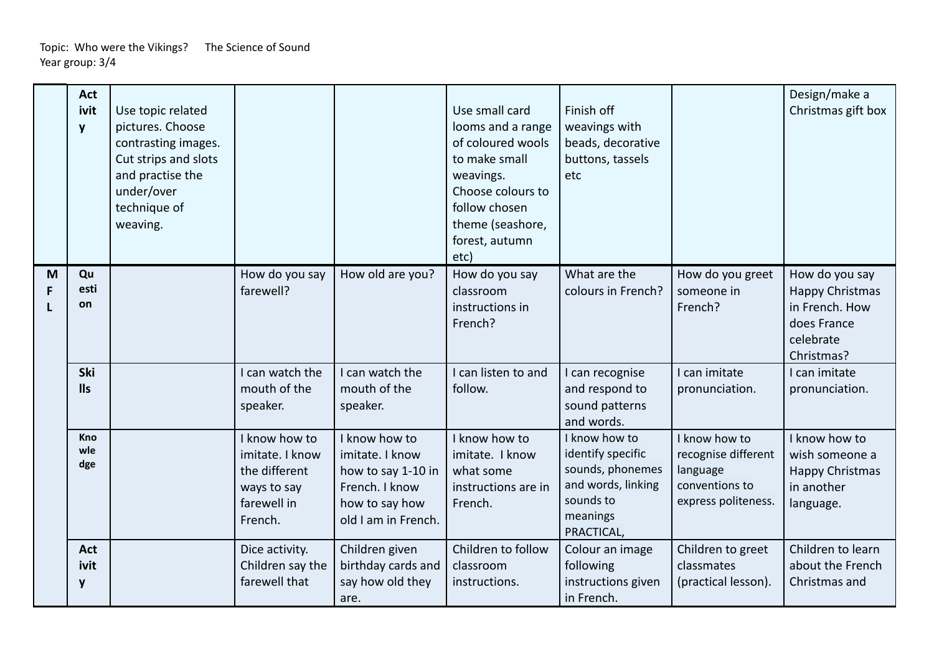|        | <b>Act</b><br>ivit<br>y  | Use topic related<br>pictures. Choose<br>contrasting images.<br>Cut strips and slots<br>and practise the<br>under/over<br>technique of<br>weaving. |                                                                                            |                                                                                                                   | Use small card<br>looms and a range<br>of coloured wools<br>to make small<br>weavings.<br>Choose colours to<br>follow chosen<br>theme (seashore,<br>forest, autumn<br>etc) | Finish off<br>weavings with<br>beads, decorative<br>buttons, tassels<br>etc                                         |                                                                                           | Design/make a<br>Christmas gift box                                                           |
|--------|--------------------------|----------------------------------------------------------------------------------------------------------------------------------------------------|--------------------------------------------------------------------------------------------|-------------------------------------------------------------------------------------------------------------------|----------------------------------------------------------------------------------------------------------------------------------------------------------------------------|---------------------------------------------------------------------------------------------------------------------|-------------------------------------------------------------------------------------------|-----------------------------------------------------------------------------------------------|
| M<br>F | Qu<br>esti<br>on         |                                                                                                                                                    | How do you say<br>farewell?                                                                | How old are you?                                                                                                  | How do you say<br>classroom<br>instructions in<br>French?                                                                                                                  | What are the<br>colours in French?                                                                                  | How do you greet<br>someone in<br>French?                                                 | How do you say<br>Happy Christmas<br>in French. How<br>does France<br>celebrate<br>Christmas? |
|        | Ski<br><b>IIs</b>        |                                                                                                                                                    | I can watch the<br>mouth of the<br>speaker.                                                | I can watch the<br>mouth of the<br>speaker.                                                                       | I can listen to and<br>follow.                                                                                                                                             | I can recognise<br>and respond to<br>sound patterns<br>and words.                                                   | I can imitate<br>pronunciation.                                                           | I can imitate<br>pronunciation.                                                               |
|        | <b>Kno</b><br>wle<br>dge |                                                                                                                                                    | I know how to<br>imitate. I know<br>the different<br>ways to say<br>farewell in<br>French. | I know how to<br>imitate. I know<br>how to say 1-10 in<br>French. I know<br>how to say how<br>old I am in French. | I know how to<br>imitate. I know<br>what some<br>instructions are in<br>French.                                                                                            | I know how to<br>identify specific<br>sounds, phonemes<br>and words, linking<br>sounds to<br>meanings<br>PRACTICAL, | I know how to<br>recognise different<br>language<br>conventions to<br>express politeness. | I know how to<br>wish someone a<br>Happy Christmas<br>in another<br>language.                 |
|        | <b>Act</b><br>ivit<br>y  |                                                                                                                                                    | Dice activity.<br>Children say the<br>farewell that                                        | Children given<br>birthday cards and<br>say how old they<br>are.                                                  | Children to follow<br>classroom<br>instructions.                                                                                                                           | Colour an image<br>following<br>instructions given<br>in French.                                                    | Children to greet<br>classmates<br>(practical lesson).                                    | Children to learn<br>about the French<br>Christmas and                                        |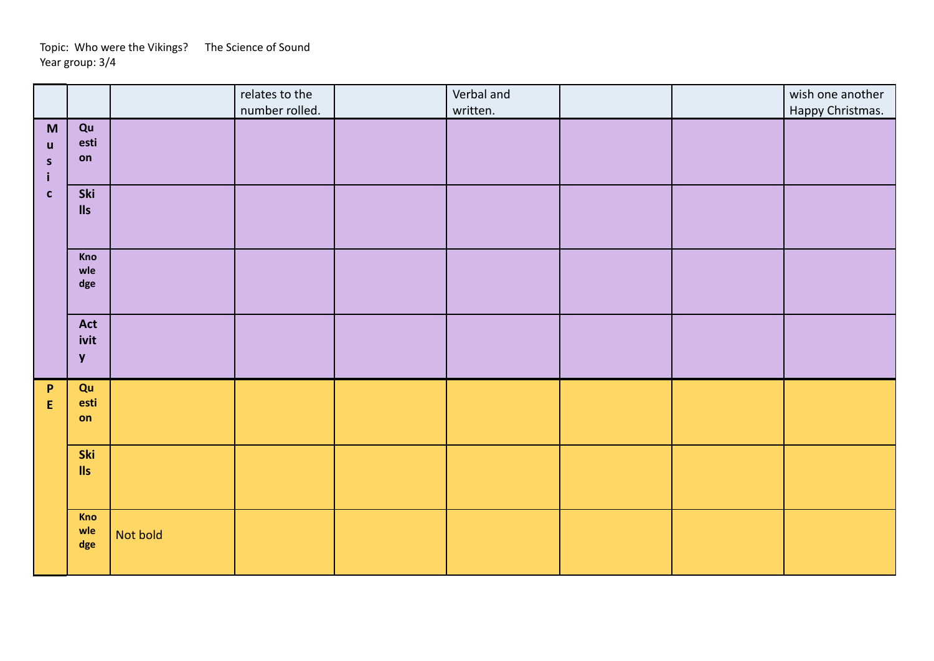|                                                  |                             |          | relates to the<br>number rolled. | Verbal and<br>written. |  | wish one another<br>Happy Christmas. |
|--------------------------------------------------|-----------------------------|----------|----------------------------------|------------------------|--|--------------------------------------|
| M<br>$\mathbf u$<br>$\mathsf{s}$<br>$\mathbf{i}$ | Qu<br>esti<br>on            |          |                                  |                        |  |                                      |
| $\mathbf{c}$                                     | Ski<br>$\mathsf{II}$ s      |          |                                  |                        |  |                                      |
|                                                  | Kno<br>wle<br>dge           |          |                                  |                        |  |                                      |
|                                                  | Act<br>ivit<br>$\mathbf{y}$ |          |                                  |                        |  |                                      |
| $\mathsf{P}$<br>${\sf E}$                        | Qu<br>esti<br>on            |          |                                  |                        |  |                                      |
|                                                  | Ski<br>$\mathsf{II}$ s      |          |                                  |                        |  |                                      |
|                                                  | Kno<br>wle<br>$\deg$        | Not bold |                                  |                        |  |                                      |